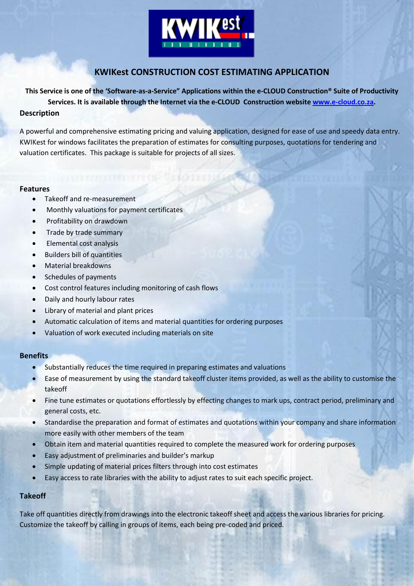

# **KWIKest CONSTRUCTION COST ESTIMATING APPLICATION**

**This Service is one of the 'Software-as-a-Service" Applications within the e-CLOUD Construction® Suite of Productivity Services. It is available through the Internet via the e-CLOUD Construction website [www.e-cloud.co.za.](http://www.e-cloud.co.za/) Description**

A powerful and comprehensive estimating pricing and valuing application, designed for ease of use and speedy data entry. KWIKest for windows facilitates the preparation of estimates for consulting purposes, quotations for tendering and valuation certificates. This package is suitable for projects of all sizes.

# **Features**

- Takeoff and re-measurement
- Monthly valuations for payment certificates
- Profitability on drawdown
- Trade by trade summary
- Elemental cost analysis
- Builders bill of quantities
- Material breakdowns
- Schedules of payments
- Cost control features including monitoring of cash flows
- Daily and hourly labour rates
- Library of material and plant prices
- Automatic calculation of items and material quantities for ordering purposes
- Valuation of work executed including materials on site

# **Benefits**

- Substantially reduces the time required in preparing estimates and valuations
- Ease of measurement by using the standard takeoff cluster items provided, as well as the ability to customise the takeoff
- Fine tune estimates or quotations effortlessly by effecting changes to mark ups, contract period, preliminary and general costs, etc.
- Standardise the preparation and format of estimates and quotations within your company and share information more easily with other members of the team
- Obtain item and material quantities required to complete the measured work for ordering purposes
- Easy adjustment of preliminaries and builder's markup
- Simple updating of material prices filters through into cost estimates
- Easy access to rate libraries with the ability to adjust rates to suit each specific project.

# **Takeoff**

Take off quantities directly from drawings into the electronic takeoff sheet and access the various libraries for pricing. Customize the takeoff by calling in groups of items, each being pre-coded and priced.